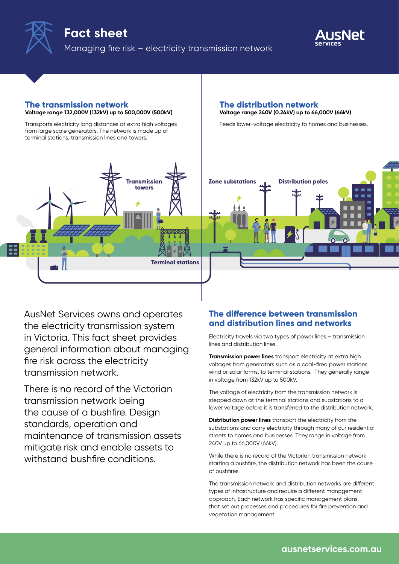



#### **The transmission network Voltage range 132,000V (132kV) up to 500,000V (500kV)**

Transports electricity long distances at extra high voltages from large scale generators. The network is made up of terminal stations, transmission lines and towers.



AusNet Services owns and operates the electricity transmission system in Victoria. This fact sheet provides general information about managing fire risk across the electricity transmission network.

There is no record of the Victorian transmission network being the cause of a bushfire. Design standards, operation and maintenance of transmission assets mitigate risk and enable assets to withstand bushfire conditions.

#### **The distribution network Voltage range 240V (0.24kV) up to 66,000V (66kV)**

Feeds lower-voltage electricity to homes and businesses.



## **The difference between transmission and distribution lines and networks**

Electricity travels via two types of power lines – transmission lines and distribution lines.

**Transmission power lines** transport electricity at extra high voltages from generators such as a coal-fired power stations, wind or solar farms, to terminal stations. They generally range in voltage from 132kV up to 500kV.

The voltage of electricity from the transmission network is stepped down at the terminal stations and substations to a lower voltage before it is transferred to the distribution network.

**Distribution power lines** transport the electricity from the substations and carry electricity through many of our residential streets to homes and businesses. They range in voltage from 240V up to 66,000V (66kV).

While there is no record of the Victorian transmission network starting a bushfire, the distribution network has been the cause of bushfires.

The transmission network and distribution networks are different types of infrastructure and require a different management approach. Each network has specific management plans that set out processes and procedures for fire prevention and vegetation management.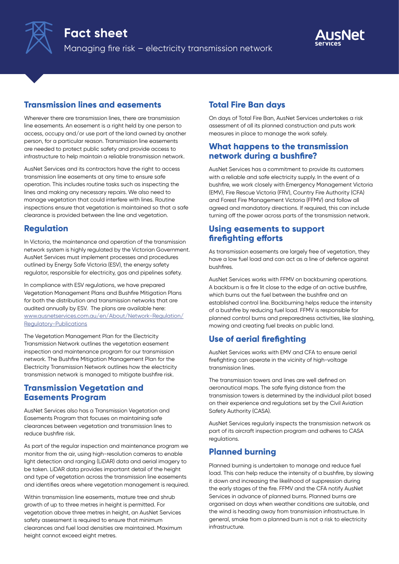



## **Transmission lines and easements**

Wherever there are transmission lines, there are transmission line easements. An easement is a right held by one person to access, occupy and/or use part of the land owned by another person, for a particular reason. Transmission line easements are needed to protect public safety and provide access to infrastructure to help maintain a reliable transmission network.

AusNet Services and its contractors have the right to access transmission line easements at any time to ensure safe operation. This includes routine tasks such as inspecting the lines and making any necessary repairs. We also need to manage vegetation that could interfere with lines. Routine inspections ensure that vegetation is maintained so that a safe clearance is provided between the line and vegetation.

## **Regulation**

In Victoria, the maintenance and operation of the transmission network system is highly regulated by the Victorian Government. AusNet Services must implement processes and procedures outlined by Energy Safe Victoria (ESV), the energy safety regulator, responsible for electricity, gas and pipelines safety.

In compliance with ESV regulations, we have prepared Vegetation Management Plans and Bushfire Mitigation Plans for both the distribution and transmission networks that are audited annually by ESV. The plans are available here: [www.ausnetservices.com.au/en/About/Network-Regulation/](https://www.ausnetservices.com.au/About/Network-Regulation/Regulatory-Publications) [Regulatory-Publications](https://www.ausnetservices.com.au/About/Network-Regulation/Regulatory-Publications)

The Vegetation Management Plan for the Electricity Transmission Network outlines the vegetation easement inspection and maintenance program for our transmission network. The Bushfire Mitigation Management Plan for the Electricity Transmission Network outlines how the electricity transmission network is managed to mitigate bushfire risk.

## **Transmission Vegetation and Easements Program**

AusNet Services also has a Transmission Vegetation and Easements Program that focuses on maintaining safe clearances between vegetation and transmission lines to reduce bushfire risk.

As part of the regular inspection and maintenance program we monitor from the air, using high-resolution cameras to enable light detection and ranging (LiDAR) data and aerial imagery to be taken. LiDAR data provides important detail of the height and type of vegetation across the transmission line easements and identifies areas where vegetation management is required.

Within transmission line easements, mature tree and shrub growth of up to three metres in height is permitted. For vegetation above three metres in height, an AusNet Services safety assessment is required to ensure that minimum clearances and fuel load densities are maintained. Maximum height cannot exceed eight metres.

# **Total Fire Ban days**

On days of Total Fire Ban, AusNet Services undertakes a risk assessment of all its planned construction and puts work measures in place to manage the work safely.

## **What happens to the transmission network during a bushfire?**

AusNet Services has a commitment to provide its customers with a reliable and safe electricity supply. In the event of a bushfire, we work closely with Emergency Management Victoria (EMV), Fire Rescue Victoria (FRV), Country Fire Authority (CFA) and Forest Fire Management Victoria (FFMV) and follow all agreed and mandatory directions. If required, this can include turning off the power across parts of the transmission network.

## **Using easements to support firefighting efforts**

As transmission easements are largely free of vegetation, they have a low fuel load and can act as a line of defence against bushfires.

AusNet Services works with FFMV on backburning operations. A backburn is a fire lit close to the edge of an active bushfire, which burns out the fuel between the bushfire and an established control line. Backburning helps reduce the intensity of a bushfire by reducing fuel load. FFMV is responsible for planned control burns and preparedness activities, like slashing, mowing and creating fuel breaks on public land.

# **Use of aerial firefighting**

AusNet Services works with EMV and CFA to ensure aerial firefighting can operate in the vicinity of high-voltage transmission lines.

The transmission towers and lines are well defined on aeronautical maps. The safe flying distance from the transmission towers is determined by the individual pilot based on their experience and regulations set by the Civil Aviation Safety Authority (CASA).

AusNet Services regularly inspects the transmission network as part of its aircraft inspection program and adheres to CASA regulations.

# **Planned burning**

Planned burning is undertaken to manage and reduce fuel load. This can help reduce the intensity of a bushfire, by slowing it down and increasing the likelihood of suppression during the early stages of the fire. FFMV and the CFA notify AusNet Services in advance of planned burns. Planned burns are organised on days when weather conditions are suitable, and the wind is heading away from transmission infrastructure. In general, smoke from a planned burn is not a risk to electricity infrastructure.